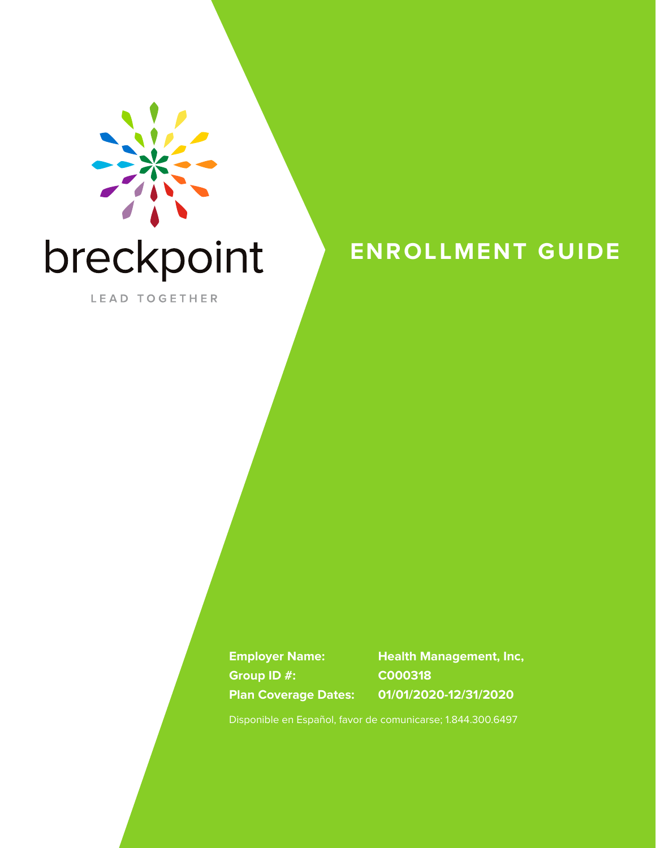

# breckpoint

LEAD TOGETHER

## **ENROLLMENT GUIDE**

**Group ID #: C000318**

**Employer Name: Health Management, Inc, Plan Coverage Dates: 01/01/2020-12/31/2020**

Disponible en Español, favor de comunicarse; 1.844.300.6497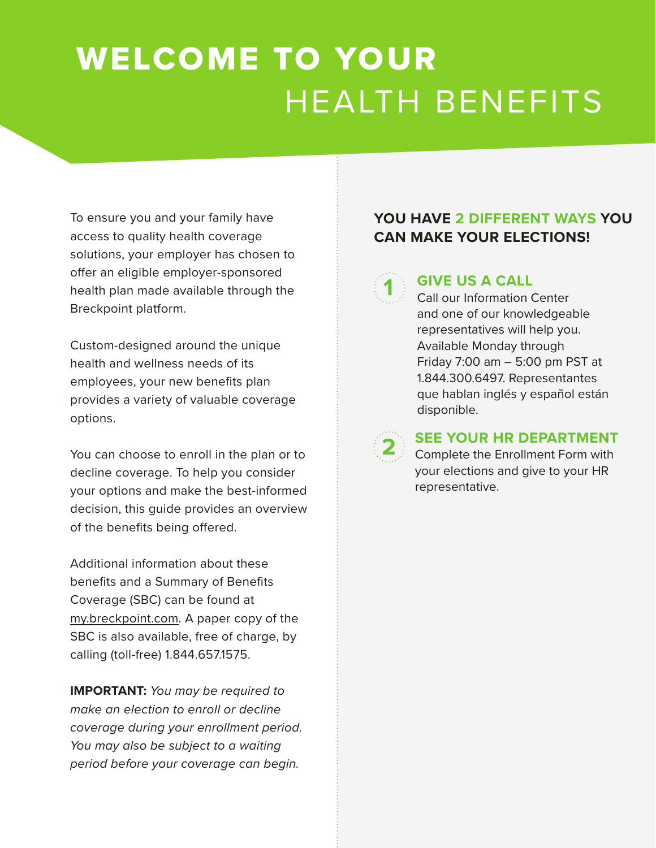# WELCOME TO YOUR HEALTH BENEFITS

To ensure you and your family have access to quality health coverage solutions, your employer has chosen to offer an eligible employer-sponsored health plan made available through the Breckpoint platform.

Custom-designed around the unique health and wellness needs of its employees, your new benefits plan provides a variety of valuable coverage options.

You can choose to enroll in the plan or to decline coverage. To help you consider your options and make the best-informed decision, this guide provides an overview of the benefits being offered.

Additional information about these benefits and a Summary of Benefits Coverage (SBC) can be found at my.breckpoint.com. A paper copy of the SBC is also available, free of charge, by calling (toll-free) 1.844.657.1575.

**IMPORTANT:** *You may be required to make an election to enroll or decline coverage during your enrollment period. You may also be subject to a waiting period before your coverage can begin.* 

### **YOU HAVE 2 DIFFERENT WAYS YOU CAN MAKE YOUR ELECTIONS!**



#### **GIVE US A CALL**

Call our Information Center and one of our knowledgeable representatives will help you. Available Monday through Friday 7:00 am – 5:00 pm PST at 1.844.300.6497. Representantes que hablan inglés y español están disponible.



#### **SEE YOUR HR DEPARTMENT**

Complete the Enrollment Form with your elections and give to your HR representative.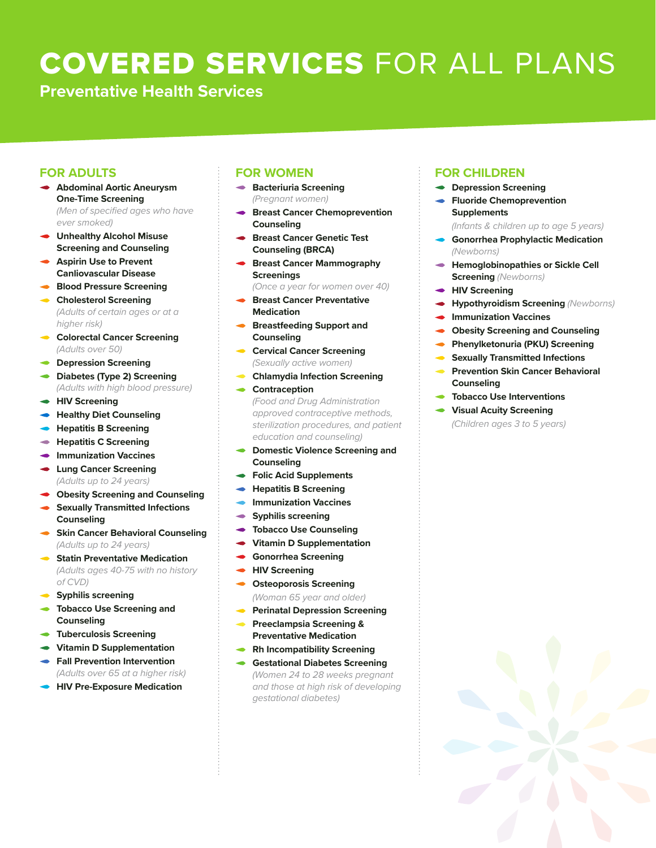# COVERED SERVICES FOR ALL PLANS

**Preventative Health Services**

#### **FOR ADULTS**

- **Abdominal Aortic Aneurysm One-Time Screening**  *(Men of specified ages who have ever smoked)*
- **Unhealthy Alcohol Misuse Screening and Counseling**
- **Aspirin Use to Prevent Canliovascular Disease**
- **Blood Pressure Screening**
- **Cholesterol Screening** *(Adults of certain ages or at a higher risk)*
- **Colorectal Cancer Screening**  *(Adults over 50)*
- **Depression Screening**
- **Diabetes (Type 2) Screening**  *(Adults with high blood pressure)*
- **HIV Screening**
- **Healthy Diet Counseling**
- **Hepatitis B Screening**
- **Hepatitis C Screening**
- **Immunization Vaccines**
- **Lung Cancer Screening** *(Adults up to 24 years)*
- **Obesity Screening and Counseling**
- **Sexually Transmitted Infections Counseling**
- **Skin Cancer Behavioral Counseling** *(Adults up to 24 years)*
- **Statin Preventative Medication**  *(Adults ages 40-75 with no history of CVD)*
- **Syphilis screening**
- **Tobacco Use Screening and Counseling**
- **Tuberculosis Screening**
- **Vitamin D Supplementation**
- **Fall Prevention Intervention**  *(Adults over 65 at a higher risk)*
- **HIV Pre-Exposure Medication**

#### **FOR WOMEN**

- **Bacteriuria Screening** *(Pregnant women)*
- **Breast Cancer Chemoprevention Counseling**
- **Breast Cancer Genetic Test Counseling (BRCA)**
- **Breast Cancer Mammography Screenings**

*(Once a year for women over 40)*

- **Breast Cancer Preventative Medication**
- **Breastfeeding Support and Counseling**
- **Cervical Cancer Screening** *(Sexually active women)*
- **Chlamydia lnfection Screening**
- **Contraception** *(Food and Drug Administration approved contraceptive methods, sterilization procedures, and patient education and counseling)*
- **Domestic Violence Screening and Counseling**
- **Folic Acid Supplements**
- **Hepatitis B Screening**
- **Immunization Vaccines**
- **Syphilis screening**
- **Tobacco Use Counseling**
- **Vitamin D Supplementation**
- **Gonorrhea Screening**  $\bullet$
- **HIV Screening**
- **Osteoporosis Screening** *(Woman 65 year and older)*
- **Perinatal Depression Screening**
- **Preeclampsia Screening & Preventative Medication**
- **Rh Incompatibility Screening**
- **Gestational Diabetes Screening** *(Women 24 to 28 weeks pregnant and those at high risk of developing gestational diabetes)*

#### **FOR CHILDREN**

- **Depression Screening**
- **Fluoride Chemoprevention Supplements**
	- *(Infants & children up to age 5 years)*
- **Gonorrhea Prophylactic Medication** *(Newborns)*
- **Hemoglobinopathies or Sickle Cell Screening** *(Newborns)*
- **HIV Screening**
- **Hypothyroidism Screening** *(Newborns)*
- **Immunization Vaccines**
- **Obesity Screening and Counseling**
- **Phenylketonuria (PKU) Screening**
- **Sexually Transmitted Infections**
- **Prevention Skin Cancer Behavioral Counseling**
- **Tobacco Use Interventions**
- **Visual Acuity Screening** *(Children ages 3 to 5 years)*

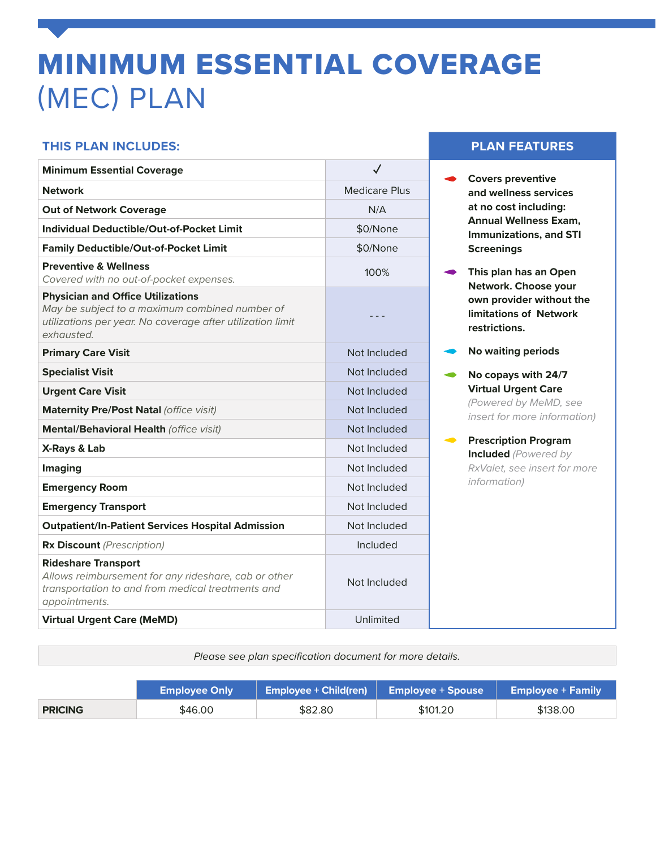# MINIMUM ESSENTIAL COVERAGE (MEC) PLAN

#### **THIS PLAN INCLUDES: PLAN FEATURES**

| <b>Minimum Essential Coverage</b>                                                                                                                                      |                      |
|------------------------------------------------------------------------------------------------------------------------------------------------------------------------|----------------------|
| <b>Network</b>                                                                                                                                                         | <b>Medicare Plus</b> |
| <b>Out of Network Coverage</b>                                                                                                                                         | N/A                  |
| <b>Individual Deductible/Out-of-Pocket Limit</b>                                                                                                                       | \$0/None             |
| <b>Family Deductible/Out-of-Pocket Limit</b>                                                                                                                           | \$0/None             |
| <b>Preventive &amp; Wellness</b><br>Covered with no out-of-pocket expenses.                                                                                            | 100%                 |
| <b>Physician and Office Utilizations</b><br>May be subject to a maximum combined number of<br>utilizations per year. No coverage after utilization limit<br>exhausted. |                      |
| <b>Primary Care Visit</b>                                                                                                                                              | Not Included         |
| <b>Specialist Visit</b>                                                                                                                                                | Not Included         |
| <b>Urgent Care Visit</b>                                                                                                                                               | Not Included         |
| Maternity Pre/Post Natal (office visit)                                                                                                                                | Not Included         |
| Mental/Behavioral Health (office visit)                                                                                                                                | Not Included         |
| X-Rays & Lab                                                                                                                                                           | Not Included         |
| Imaging                                                                                                                                                                | Not Included         |
| <b>Emergency Room</b>                                                                                                                                                  | Not Included         |
| <b>Emergency Transport</b>                                                                                                                                             | Not Included         |
| <b>Outpatient/In-Patient Services Hospital Admission</b>                                                                                                               | Not Included         |
| <b>Rx Discount</b> (Prescription)                                                                                                                                      | Included             |
| <b>Rideshare Transport</b><br>Allows reimbursement for any rideshare, cab or other<br>transportation to and from medical treatments and<br>appointments.               | Not Included         |
| <b>Virtual Urgent Care (MeMD)</b>                                                                                                                                      | Unlimited            |

- **► Covers preventive and wellness services at no cost including: Annual Wellness Exam, Immunizations, and STI Screenings**
- **This plan has an Open Network. Choose your own provider without the limitations of Network restrictions.**
- **No waiting periods**
- **No copays with 24/7 Virtual Urgent Care**  *(Powered by MeMD, see insert for more information)*
- **Prescription Program Included** *(Powered by RxValet, see insert for more information)*

*Please see plan specification document for more details.*

|                | <b>Employee Only</b> | $\sqrt{2}$ Employee + Child(ren) $\sqrt{2}$ Employee + Spouse |          | <b>Employee + Family</b> |
|----------------|----------------------|---------------------------------------------------------------|----------|--------------------------|
| <b>PRICING</b> | \$46.00              | \$82.80                                                       | \$101.20 | \$138.00                 |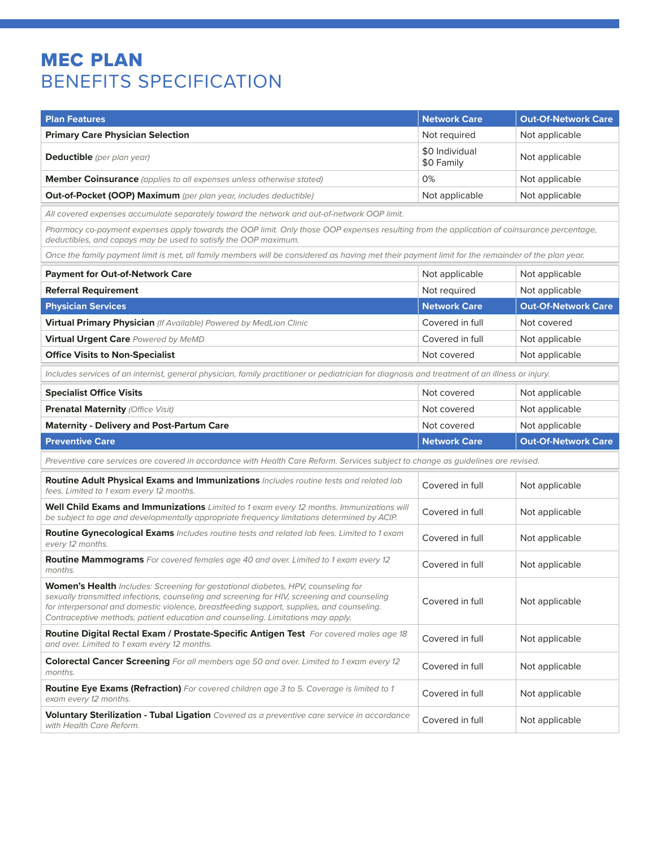## MEC PLAN BENEFITS SPECIFICATION

| <b>Plan Features</b>                                                                                                                                                                                                                                                                                                                                            | <b>Network Care</b>          | <b>Out-Of-Network Care</b> |
|-----------------------------------------------------------------------------------------------------------------------------------------------------------------------------------------------------------------------------------------------------------------------------------------------------------------------------------------------------------------|------------------------------|----------------------------|
| <b>Primary Care Physician Selection</b>                                                                                                                                                                                                                                                                                                                         | Not required                 | Not applicable             |
| <b>Deductible</b> (per plan year)                                                                                                                                                                                                                                                                                                                               | \$0 Individual<br>\$0 Family | Not applicable             |
| <b>Member Coinsurance</b> (applies to all expenses unless otherwise stated)                                                                                                                                                                                                                                                                                     | 0%                           | Not applicable             |
| <b>Out-of-Pocket (OOP) Maximum</b> (per plan year, includes deductible)                                                                                                                                                                                                                                                                                         | Not applicable               | Not applicable             |
| All covered expenses accumulate separately toward the network and out-of-network OOP limit.                                                                                                                                                                                                                                                                     |                              |                            |
| Pharmacy co-payment expenses apply towards the OOP limit. Only those OOP expenses resulting from the application of coinsurance percentage,<br>deductibles, and copays may be used to satisfy the OOP maximum.                                                                                                                                                  |                              |                            |
| Once the family payment limit is met, all family members will be considered as having met their payment limit for the remainder of the plan year.                                                                                                                                                                                                               |                              |                            |
| <b>Payment for Out-of-Network Care</b>                                                                                                                                                                                                                                                                                                                          | Not applicable               | Not applicable             |
| <b>Referral Requirement</b>                                                                                                                                                                                                                                                                                                                                     | Not required                 | Not applicable             |
| <b>Physician Services</b>                                                                                                                                                                                                                                                                                                                                       | <b>Network Care</b>          | <b>Out-Of-Network Care</b> |
| Virtual Primary Physician (If Available) Powered by MedLion Clinic                                                                                                                                                                                                                                                                                              | Covered in full              | Not covered                |
| Virtual Urgent Care Powered by MeMD                                                                                                                                                                                                                                                                                                                             | Covered in full              | Not applicable             |
| <b>Office Visits to Non-Specialist</b>                                                                                                                                                                                                                                                                                                                          | Not covered                  | Not applicable             |
| Includes services of an internist, general physician, family practitioner or pediatrician for diagnosis and treatment of an illness or injury.                                                                                                                                                                                                                  |                              |                            |
| <b>Specialist Office Visits</b>                                                                                                                                                                                                                                                                                                                                 | Not covered                  | Not applicable             |
| Prenatal Maternity (Office Visit)                                                                                                                                                                                                                                                                                                                               | Not covered                  | Not applicable             |
| <b>Maternity - Delivery and Post-Partum Care</b>                                                                                                                                                                                                                                                                                                                | Not covered                  | Not applicable             |
| <b>Preventive Care</b>                                                                                                                                                                                                                                                                                                                                          | <b>Network Care</b>          | <b>Out-Of-Network Care</b> |
| Preventive care services are covered in accordance with Health Care Reform. Services subject to change as guidelines are revised.                                                                                                                                                                                                                               |                              |                            |
| Routine Adult Physical Exams and Immunizations Includes routine tests and related lab<br>fees. Limited to 1 exam every 12 months.                                                                                                                                                                                                                               | Covered in full              | Not applicable             |
| Well Child Exams and Immunizations Limited to 1 exam every 12 months. Immunizations will<br>be subject to age and developmentally appropriate frequency limitations determined by ACIP.                                                                                                                                                                         | Covered in full              | Not applicable             |
| Routine Gynecological Exams Includes routine tests and related lab fees. Limited to 1 exam<br>every 12 months.                                                                                                                                                                                                                                                  | Covered in full              | Not applicable             |
| Routine Mammograms For covered females age 40 and over. Limited to 1 exam every 12<br>months.                                                                                                                                                                                                                                                                   | Covered in full              | Not applicable             |
| Women's Health Includes: Screening for gestational diabetes, HPV, counseling for<br>sexually transmitted infections, counseling and screening for HIV, screening and counseling<br>for interpersonal and domestic violence, breastfeeding support, supplies, and counseling.<br>Contraceptive methods, patient education and counseling. Limitations may apply. | Covered in full              | Not applicable             |
| Routine Digital Rectal Exam / Prostate-Specific Antigen Test For covered males age 18<br>and over. Limited to 1 exam every 12 months.                                                                                                                                                                                                                           | Covered in full              | Not applicable             |
| <b>Colorectal Cancer Screening</b> For all members age 50 and over. Limited to 1 exam every 12<br>months.                                                                                                                                                                                                                                                       | Covered in full              | Not applicable             |
| <b>Routine Eye Exams (Refraction)</b> For covered children age 3 to 5. Coverage is limited to 1<br>exam every 12 months.                                                                                                                                                                                                                                        | Covered in full              | Not applicable             |
| Voluntary Sterilization - Tubal Ligation Covered as a preventive care service in accordance                                                                                                                                                                                                                                                                     | Covered in full              | Not applicable             |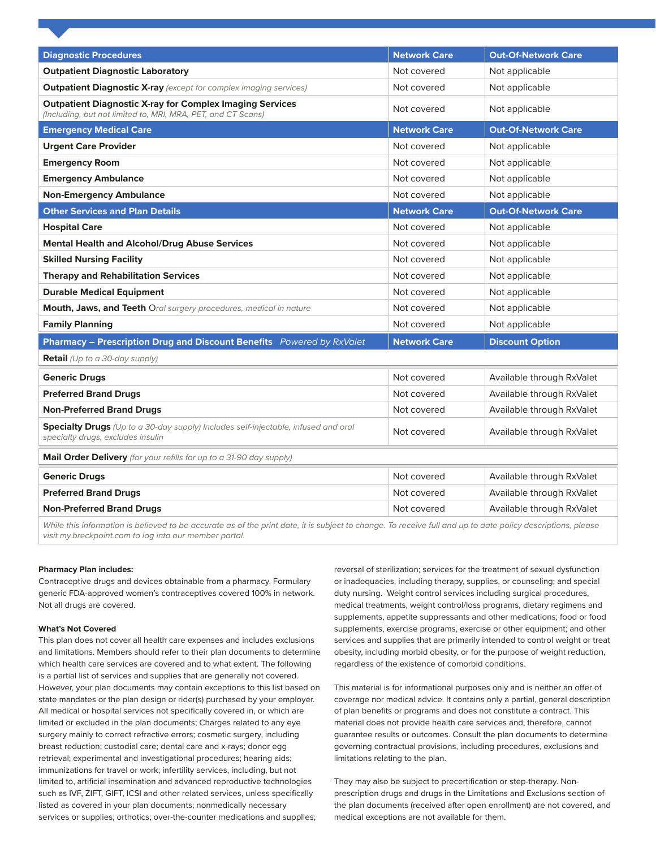| <b>Diagnostic Procedures</b>                                                                                                    | <b>Network Care</b> | <b>Out-Of-Network Care</b> |
|---------------------------------------------------------------------------------------------------------------------------------|---------------------|----------------------------|
| <b>Outpatient Diagnostic Laboratory</b>                                                                                         | Not covered         | Not applicable             |
| <b>Outpatient Diagnostic X-ray</b> (except for complex imaging services)                                                        | Not covered         | Not applicable             |
| <b>Outpatient Diagnostic X-ray for Complex Imaging Services</b><br>(Including, but not limited to, MRI, MRA, PET, and CT Scans) | Not covered         | Not applicable             |
| <b>Emergency Medical Care</b>                                                                                                   | <b>Network Care</b> | <b>Out-Of-Network Care</b> |
| <b>Urgent Care Provider</b>                                                                                                     | Not covered         | Not applicable             |
| <b>Emergency Room</b>                                                                                                           | Not covered         | Not applicable             |
| <b>Emergency Ambulance</b>                                                                                                      | Not covered         | Not applicable             |
| <b>Non-Emergency Ambulance</b>                                                                                                  | Not covered         | Not applicable             |
| <b>Other Services and Plan Details</b>                                                                                          | <b>Network Care</b> | <b>Out-Of-Network Care</b> |
| <b>Hospital Care</b>                                                                                                            | Not covered         | Not applicable             |
| <b>Mental Health and Alcohol/Drug Abuse Services</b>                                                                            | Not covered         | Not applicable             |
| <b>Skilled Nursing Facility</b>                                                                                                 | Not covered         | Not applicable             |
| <b>Therapy and Rehabilitation Services</b>                                                                                      | Not covered         | Not applicable             |
| <b>Durable Medical Equipment</b>                                                                                                | Not covered         | Not applicable             |
| Mouth, Jaws, and Teeth Oral surgery procedures, medical in nature                                                               | Not covered         | Not applicable             |
| <b>Family Planning</b>                                                                                                          | Not covered         | Not applicable             |
| Pharmacy - Prescription Drug and Discount Benefits Powered by RxValet                                                           | <b>Network Care</b> | <b>Discount Option</b>     |
| <b>Retail</b> (Up to a 30-day supply)                                                                                           |                     |                            |
| <b>Generic Drugs</b>                                                                                                            | Not covered         | Available through RxValet  |
| <b>Preferred Brand Drugs</b>                                                                                                    | Not covered         | Available through RxValet  |
| <b>Non-Preferred Brand Drugs</b>                                                                                                | Not covered         | Available through RxValet  |
| Specialty Drugs (Up to a 30-day supply) Includes self-injectable, infused and oral<br>specialty drugs, excludes insulin         | Not covered         | Available through RxValet  |
| Mail Order Delivery (for your refills for up to a 31-90 day supply)                                                             |                     |                            |
| <b>Generic Drugs</b>                                                                                                            | Not covered         | Available through RxValet  |
| <b>Preferred Brand Drugs</b>                                                                                                    | Not covered         | Available through RxValet  |
| <b>Non-Preferred Brand Drugs</b>                                                                                                | Not covered         | Available through RxValet  |

While this information is believed to be accurate as of the print date, it is subject to change. To receive full and up to date policy descriptions, please *visit my.breckpoint.com to log into our member portal.*

#### **Pharmacy Plan includes:**

Contraceptive drugs and devices obtainable from a pharmacy. Formulary generic FDA-approved women's contraceptives covered 100% in network. Not all drugs are covered.

#### **What's Not Covered**

This plan does not cover all health care expenses and includes exclusions and limitations. Members should refer to their plan documents to determine which health care services are covered and to what extent. The following is a partial list of services and supplies that are generally not covered. However, your plan documents may contain exceptions to this list based on state mandates or the plan design or rider(s) purchased by your employer. All medical or hospital services not specifically covered in, or which are limited or excluded in the plan documents; Charges related to any eye surgery mainly to correct refractive errors; cosmetic surgery, including breast reduction; custodial care; dental care and x-rays; donor egg retrieval; experimental and investigational procedures; hearing aids; immunizations for travel or work; infertility services, including, but not limited to, artificial insemination and advanced reproductive technologies such as IVF, ZIFT, GIFT, ICSI and other related services, unless specifically listed as covered in your plan documents; nonmedically necessary services or supplies; orthotics; over-the-counter medications and supplies;

reversal of sterilization; services for the treatment of sexual dysfunction or inadequacies, including therapy, supplies, or counseling; and special duty nursing. Weight control services including surgical procedures, medical treatments, weight control/loss programs, dietary regimens and supplements, appetite suppressants and other medications; food or food supplements, exercise programs, exercise or other equipment; and other services and supplies that are primarily intended to control weight or treat obesity, including morbid obesity, or for the purpose of weight reduction, regardless of the existence of comorbid conditions.

This material is for informational purposes only and is neither an offer of coverage nor medical advice. It contains only a partial, general description of plan benefits or programs and does not constitute a contract. This material does not provide health care services and, therefore, cannot guarantee results or outcomes. Consult the plan documents to determine governing contractual provisions, including procedures, exclusions and limitations relating to the plan.

They may also be subject to precertification or step-therapy. Nonprescription drugs and drugs in the Limitations and Exclusions section of the plan documents (received after open enrollment) are not covered, and medical exceptions are not available for them.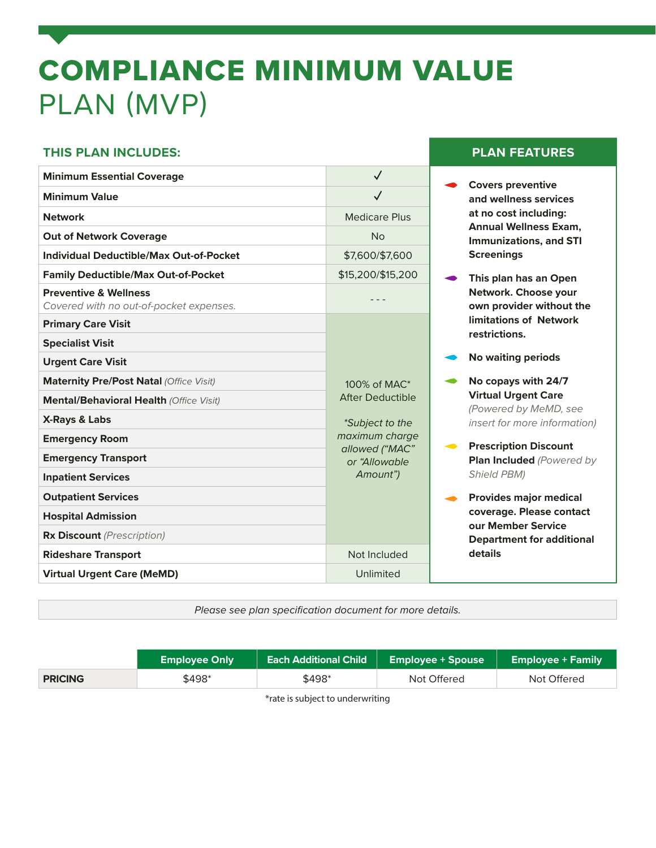# COMPLIANCE MINIMUM VALUE PLAN (MVP)

#### **THIS PLAN INCLUDES: PLAN FEATURES**

| <b>Minimum Essential Coverage</b>                                           | $\checkmark$                    | <b>Covers preventive</b>                       |
|-----------------------------------------------------------------------------|---------------------------------|------------------------------------------------|
| <b>Minimum Value</b>                                                        | $\checkmark$                    | and wellness servid                            |
| <b>Network</b>                                                              | <b>Medicare Plus</b>            | at no cost including                           |
| <b>Out of Network Coverage</b>                                              | <b>No</b>                       | <b>Annual Wellness E</b><br>Immunizations, and |
| <b>Individual Deductible/Max Out-of-Pocket</b>                              | \$7,600/\$7,600                 | <b>Screenings</b>                              |
| <b>Family Deductible/Max Out-of-Pocket</b>                                  | \$15,200/\$15,200               | This plan has an O                             |
| <b>Preventive &amp; Wellness</b><br>Covered with no out-of-pocket expenses. |                                 | Network. Choose y<br>own provider witho        |
| <b>Primary Care Visit</b>                                                   |                                 | limitations of Netv                            |
| <b>Specialist Visit</b>                                                     |                                 | restrictions.                                  |
| <b>Urgent Care Visit</b>                                                    |                                 | <b>No waiting periods</b>                      |
| Maternity Pre/Post Natal (Office Visit)                                     | 100% of MAC*                    | No copays with 24                              |
| Mental/Behavioral Health (Office Visit)                                     | <b>After Deductible</b>         | <b>Virtual Urgent Card</b><br>(Powered by MeMD |
| <b>X-Rays &amp; Labs</b>                                                    | *Subject to the                 | insert for more infor                          |
| <b>Emergency Room</b>                                                       | maximum charge                  | <b>Prescription Discor</b>                     |
| <b>Emergency Transport</b>                                                  | allowed ("MAC"<br>or "Allowable | Plan Included (Pow                             |
| <b>Inpatient Services</b>                                                   | Amount")                        | <b>Shield PBM)</b>                             |
| <b>Outpatient Services</b>                                                  |                                 | <b>Provides major me</b>                       |
| <b>Hospital Admission</b>                                                   |                                 | coverage. Please c                             |
| <b>Rx Discount</b> (Prescription)                                           |                                 | our Member Servic<br>Department for ad         |
| <b>Rideshare Transport</b>                                                  | Not Included                    | details                                        |
| <b>Virtual Urgent Care (MeMD)</b>                                           | Unlimited                       |                                                |
|                                                                             |                                 |                                                |

**and wellness services at no cost including: Annual Wellness Exam, Immunizations, and STI Screenings** 

 **This plan has an Open Network. Choose your own provider without the limitations of Network restrictions.**

 **No copays with 24/7 Virtual Urgent Care**  *(Powered by MeMD, see insert for more information)*

- **Prescription Discount Plan Included** *(Powered by Shield PBM)*
- **Provides major medical coverage. Please contact our Member Service Department for additional details**

*Please see plan specification document for more details.*

|                | <b>Employee Only</b> | <b>Each Additional Child</b> | <b>Employee + Spouse</b> | <b>Employee + Family</b> |
|----------------|----------------------|------------------------------|--------------------------|--------------------------|
| <b>PRICING</b> | \$498*               | \$498*                       | Not Offered              | Not Offered              |
|                |                      |                              |                          |                          |

\*rate is subject to underwriting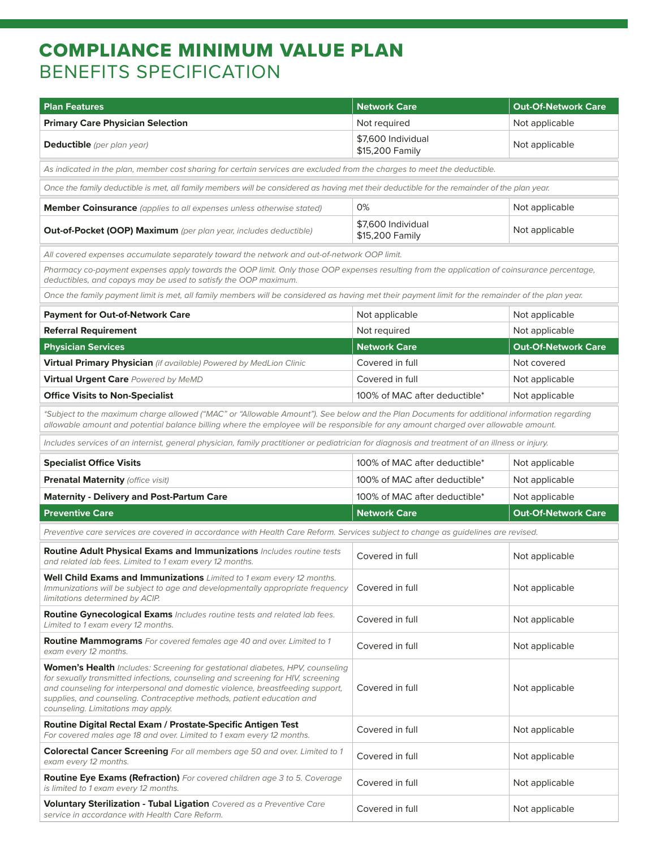## COMPLIANCE MINIMUM VALUE PLAN BENEFITS SPECIFICATION

| <b>Plan Features</b>                                                                                                                                                                                                                                                                                                                                               | <b>Network Care</b>                   | <b>Out-Of-Network Care</b> |
|--------------------------------------------------------------------------------------------------------------------------------------------------------------------------------------------------------------------------------------------------------------------------------------------------------------------------------------------------------------------|---------------------------------------|----------------------------|
| <b>Primary Care Physician Selection</b>                                                                                                                                                                                                                                                                                                                            | Not required                          | Not applicable             |
| <b>Deductible</b> (per plan year)                                                                                                                                                                                                                                                                                                                                  | \$7,600 Individual<br>\$15,200 Family | Not applicable             |
| As indicated in the plan, member cost sharing for certain services are excluded from the charges to meet the deductible.                                                                                                                                                                                                                                           |                                       |                            |
| Once the family deductible is met, all family members will be considered as having met their deductible for the remainder of the plan year.                                                                                                                                                                                                                        |                                       |                            |
| Member Coinsurance (applies to all expenses unless otherwise stated)                                                                                                                                                                                                                                                                                               | 0%                                    | Not applicable             |
| <b>Out-of-Pocket (OOP) Maximum</b> (per plan year, includes deductible)                                                                                                                                                                                                                                                                                            | \$7,600 Individual<br>\$15,200 Family | Not applicable             |
| All covered expenses accumulate separately toward the network and out-of-network OOP limit.                                                                                                                                                                                                                                                                        |                                       |                            |
| Pharmacy co-payment expenses apply towards the OOP limit. Only those OOP expenses resulting from the application of coinsurance percentage,<br>deductibles, and copays may be used to satisfy the OOP maximum.                                                                                                                                                     |                                       |                            |
| Once the family payment limit is met, all family members will be considered as having met their payment limit for the remainder of the plan year.                                                                                                                                                                                                                  |                                       |                            |
| <b>Payment for Out-of-Network Care</b>                                                                                                                                                                                                                                                                                                                             | Not applicable                        | Not applicable             |
| <b>Referral Requirement</b>                                                                                                                                                                                                                                                                                                                                        | Not required                          | Not applicable             |
| <b>Physician Services</b>                                                                                                                                                                                                                                                                                                                                          | <b>Network Care</b>                   | <b>Out-Of-Network Care</b> |
| Virtual Primary Physician (if available) Powered by MedLion Clinic                                                                                                                                                                                                                                                                                                 | Covered in full                       | Not covered                |
| Virtual Urgent Care Powered by MeMD                                                                                                                                                                                                                                                                                                                                | Covered in full                       | Not applicable             |
| <b>Office Visits to Non-Specialist</b>                                                                                                                                                                                                                                                                                                                             | 100% of MAC after deductible*         | Not applicable             |
| *Subject to the maximum charge allowed ("MAC" or "Allowable Amount"). See below and the Plan Documents for additional information regarding<br>allowable amount and potential balance billing where the employee will be responsible for any amount charged over allowable amount.                                                                                 |                                       |                            |
| Includes services of an internist, general physician, family practitioner or pediatrician for diagnosis and treatment of an illness or injury.                                                                                                                                                                                                                     |                                       |                            |
| <b>Specialist Office Visits</b>                                                                                                                                                                                                                                                                                                                                    | 100% of MAC after deductible*         | Not applicable             |
| <b>Prenatal Maternity (office visit)</b>                                                                                                                                                                                                                                                                                                                           | 100% of MAC after deductible*         | Not applicable             |
| <b>Maternity - Delivery and Post-Partum Care</b>                                                                                                                                                                                                                                                                                                                   | 100% of MAC after deductible*         | Not applicable             |
| <b>Preventive Care</b>                                                                                                                                                                                                                                                                                                                                             | <b>Network Care</b>                   | <b>Out-Of-Network Care</b> |
| Preventive care services are covered in accordance with Health Care Reform. Services subject to change as guidelines are revised.                                                                                                                                                                                                                                  |                                       |                            |
| Routine Adult Physical Exams and Immunizations Includes routine tests<br>and related lab fees. Limited to 1 exam every 12 months.                                                                                                                                                                                                                                  | Covered in full                       | Not applicable             |
| Well Child Exams and Immunizations Limited to 1 exam every 12 months.<br>Immunizations will be subject to age and developmentally appropriate frequency<br>limitations determined by ACIP.                                                                                                                                                                         | Covered in full                       | Not applicable             |
| Routine Gynecological Exams Includes routine tests and related lab fees.<br>Limited to 1 exam every 12 months.                                                                                                                                                                                                                                                     | Covered in full                       | Not applicable             |
| Routine Mammograms For covered females age 40 and over. Limited to 1<br>exam every 12 months.                                                                                                                                                                                                                                                                      | Covered in full                       | Not applicable             |
| Women's Health Includes: Screening for gestational diabetes, HPV, counseling<br>for sexually transmitted infections, counseling and screening for HIV, screening<br>and counseling for interpersonal and domestic violence, breastfeeding support,<br>supplies, and counseling. Contraceptive methods, patient education and<br>counseling. Limitations may apply. | Covered in full                       | Not applicable             |
| Routine Digital Rectal Exam / Prostate-Specific Antigen Test<br>For covered males age 18 and over. Limited to 1 exam every 12 months.                                                                                                                                                                                                                              | Covered in full                       | Not applicable             |
| Colorectal Cancer Screening For all members age 50 and over. Limited to 1<br>exam every 12 months.                                                                                                                                                                                                                                                                 | Covered in full                       | Not applicable             |
| Routine Eye Exams (Refraction) For covered children age 3 to 5. Coverage<br>is limited to 1 exam every 12 months.                                                                                                                                                                                                                                                  | Covered in full                       | Not applicable             |
| Voluntary Sterilization - Tubal Ligation Covered as a Preventive Care<br>service in accordance with Health Care Reform.                                                                                                                                                                                                                                            | Covered in full                       | Not applicable             |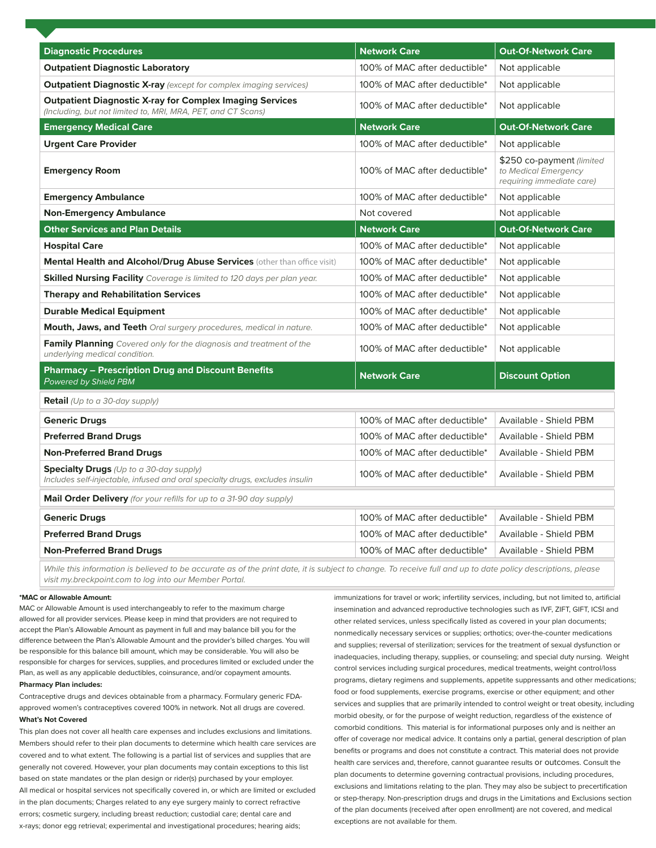| <b>Diagnostic Procedures</b>                                                                                                    | <b>Network Care</b>           | <b>Out-Of-Network Care</b>                                                     |
|---------------------------------------------------------------------------------------------------------------------------------|-------------------------------|--------------------------------------------------------------------------------|
| <b>Outpatient Diagnostic Laboratory</b>                                                                                         | 100% of MAC after deductible* | Not applicable                                                                 |
| <b>Outpatient Diagnostic X-ray</b> (except for complex imaging services)                                                        | 100% of MAC after deductible* | Not applicable                                                                 |
| <b>Outpatient Diagnostic X-ray for Complex Imaging Services</b><br>(Including, but not limited to, MRI, MRA, PET, and CT Scans) | 100% of MAC after deductible* | Not applicable                                                                 |
| <b>Emergency Medical Care</b>                                                                                                   | <b>Network Care</b>           | <b>Out-Of-Network Care</b>                                                     |
| <b>Urgent Care Provider</b>                                                                                                     | 100% of MAC after deductible* | Not applicable                                                                 |
| <b>Emergency Room</b>                                                                                                           | 100% of MAC after deductible* | \$250 co-payment (limited<br>to Medical Emergency<br>requiring immediate care) |
| <b>Emergency Ambulance</b>                                                                                                      | 100% of MAC after deductible* | Not applicable                                                                 |
| <b>Non-Emergency Ambulance</b>                                                                                                  | Not covered                   | Not applicable                                                                 |
| <b>Other Services and Plan Details</b>                                                                                          | <b>Network Care</b>           | <b>Out-Of-Network Care</b>                                                     |
| <b>Hospital Care</b>                                                                                                            | 100% of MAC after deductible* | Not applicable                                                                 |
| Mental Health and Alcohol/Drug Abuse Services (other than office visit)                                                         | 100% of MAC after deductible* | Not applicable                                                                 |
| <b>Skilled Nursing Facility</b> Coverage is limited to 120 days per plan year.                                                  | 100% of MAC after deductible* | Not applicable                                                                 |
| <b>Therapy and Rehabilitation Services</b>                                                                                      | 100% of MAC after deductible* | Not applicable                                                                 |
| <b>Durable Medical Equipment</b>                                                                                                | 100% of MAC after deductible* | Not applicable                                                                 |
| <b>Mouth, Jaws, and Teeth</b> Oral surgery procedures, medical in nature.                                                       | 100% of MAC after deductible* | Not applicable                                                                 |
| <b>Family Planning</b> Covered only for the diagnosis and treatment of the<br>underlying medical condition.                     | 100% of MAC after deductible* | Not applicable                                                                 |
| <b>Pharmacy - Prescription Drug and Discount Benefits</b><br>Powered by Shield PBM                                              | <b>Network Care</b>           | <b>Discount Option</b>                                                         |
| <b>Retail</b> (Up to a 30-day supply)                                                                                           |                               |                                                                                |
| <b>Generic Drugs</b>                                                                                                            | 100% of MAC after deductible* | Available - Shield PBM                                                         |
| <b>Preferred Brand Drugs</b>                                                                                                    | 100% of MAC after deductible* | Available - Shield PBM                                                         |
| <b>Non-Preferred Brand Drugs</b>                                                                                                | 100% of MAC after deductible* | Available - Shield PBM                                                         |
| <b>Specialty Drugs</b> (Up to a 30-day supply)<br>Includes self-injectable, infused and oral specialty drugs, excludes insulin  | 100% of MAC after deductible* | Available - Shield PBM                                                         |
| Mail Order Delivery (for your refills for up to a 31-90 day supply)                                                             |                               |                                                                                |
| <b>Generic Drugs</b>                                                                                                            | 100% of MAC after deductible* | Available - Shield PBM                                                         |
| <b>Preferred Brand Drugs</b>                                                                                                    | 100% of MAC after deductible* | Available - Shield PBM                                                         |
| <b>Non-Preferred Brand Drugs</b>                                                                                                | 100% of MAC after deductible* | Available - Shield PBM                                                         |

While this information is believed to be accurate as of the print date, it is subject to change. To receive full and up to date policy descriptions, please *visit my.breckpoint.com to log into our Member Portal.*

#### **\*MAC or Allowable Amount:**

MAC or Allowable Amount is used interchangeably to refer to the maximum charge allowed for all provider services. Please keep in mind that providers are not required to accept the Plan's Allowable Amount as payment in full and may balance bill you for the difference between the Plan's Allowable Amount and the provider's billed charges. You will be responsible for this balance bill amount, which may be considerable. You will also be responsible for charges for services, supplies, and procedures limited or excluded under the Plan, as well as any applicable deductibles, coinsurance, and/or copayment amounts.

#### **Pharmacy Plan includes:**

Contraceptive drugs and devices obtainable from a pharmacy. Formulary generic FDAapproved women's contraceptives covered 100% in network. Not all drugs are covered. **What's Not Covered**

This plan does not cover all health care expenses and includes exclusions and limitations. Members should refer to their plan documents to determine which health care services are covered and to what extent. The following is a partial list of services and supplies that are generally not covered. However, your plan documents may contain exceptions to this list based on state mandates or the plan design or rider(s) purchased by your employer. All medical or hospital services not specifically covered in, or which are limited or excluded in the plan documents; Charges related to any eye surgery mainly to correct refractive errors; cosmetic surgery, including breast reduction; custodial care; dental care and x-rays; donor egg retrieval; experimental and investigational procedures; hearing aids;

immunizations for travel or work; infertility services, including, but not limited to, artificial insemination and advanced reproductive technologies such as IVF, ZIFT, GIFT, ICSI and other related services, unless specifically listed as covered in your plan documents; nonmedically necessary services or supplies; orthotics; over-the-counter medications and supplies; reversal of sterilization; services for the treatment of sexual dysfunction or inadequacies, including therapy, supplies, or counseling; and special duty nursing. Weight control services including surgical procedures, medical treatments, weight control/loss programs, dietary regimens and supplements, appetite suppressants and other medications; food or food supplements, exercise programs, exercise or other equipment; and other services and supplies that are primarily intended to control weight or treat obesity, including morbid obesity, or for the purpose of weight reduction, regardless of the existence of comorbid conditions. This material is for informational purposes only and is neither an offer of coverage nor medical advice. It contains only a partial, general description of plan benefits or programs and does not constitute a contract. This material does not provide health care services and, therefore, cannot guarantee results or outcomes. Consult the plan documents to determine governing contractual provisions, including procedures, exclusions and limitations relating to the plan. They may also be subject to precertification or step-therapy. Non-prescription drugs and drugs in the Limitations and Exclusions section of the plan documents (received after open enrollment) are not covered, and medical exceptions are not available for them.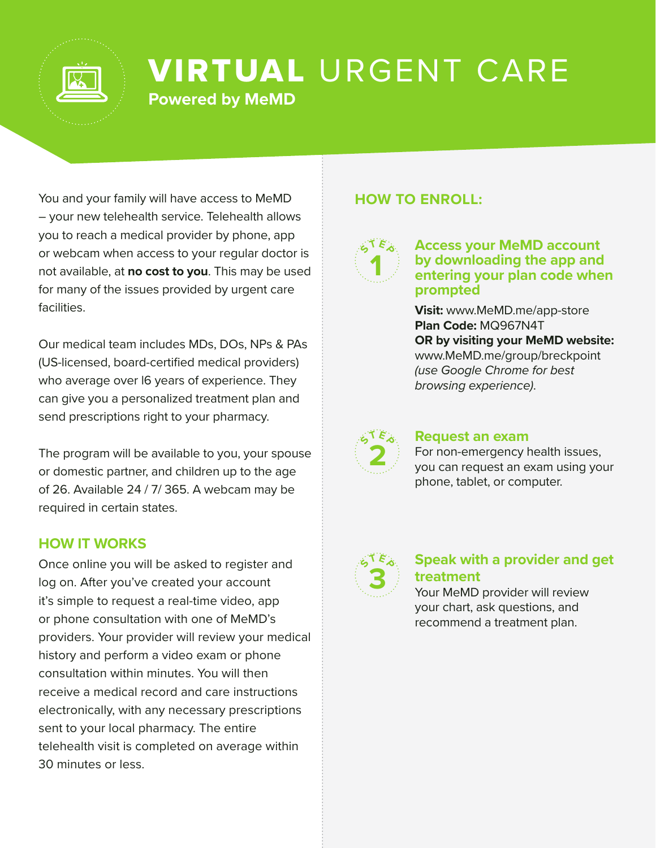

## VIRTUAL URGENT CARE **Powered by MeMD**

You and your family will have access to MeMD – your new telehealth service. Telehealth allows you to reach a medical provider by phone, app or webcam when access to your regular doctor is not available, at **no cost to you**. This may be used for many of the issues provided by urgent care facilities.

Our medical team includes MDs, DOs, NPs & PAs (US-licensed, board-certified medical providers) who average over I6 years of experience. They can give you a personalized treatment plan and send prescriptions right to your pharmacy.

The program will be available to you, your spouse or domestic partner, and children up to the age of 26. Available 24 / 7/ 365. A webcam may be required in certain states.

#### **HOW IT WORKS**

Once online you will be asked to register and log on. After you've created your account it's simple to request a real-time video, app or phone consultation with one of MeMD's providers. Your provider will review your medical history and perform a video exam or phone consultation within minutes. You will then receive a medical record and care instructions electronically, with any necessary prescriptions sent to your local pharmacy. The entire telehealth visit is completed on average within 30 minutes or less.

### **HOW TO ENROLL:**



#### **Access your MeMD account by downloading the app and entering your plan code when prompted**

**Visit:** www.MeMD.me/app-store **Plan Code:** MQ967N4T **OR by visiting your MeMD website:** www.MeMD.me/group/breckpoint *(use Google Chrome for best browsing experience)*.



#### **Request an exam**

For non-emergency health issues, you can request an exam using your phone, tablet, or computer.



### **Speak with a provider and get treatment**

Your MeMD provider will review your chart, ask questions, and recommend a treatment plan.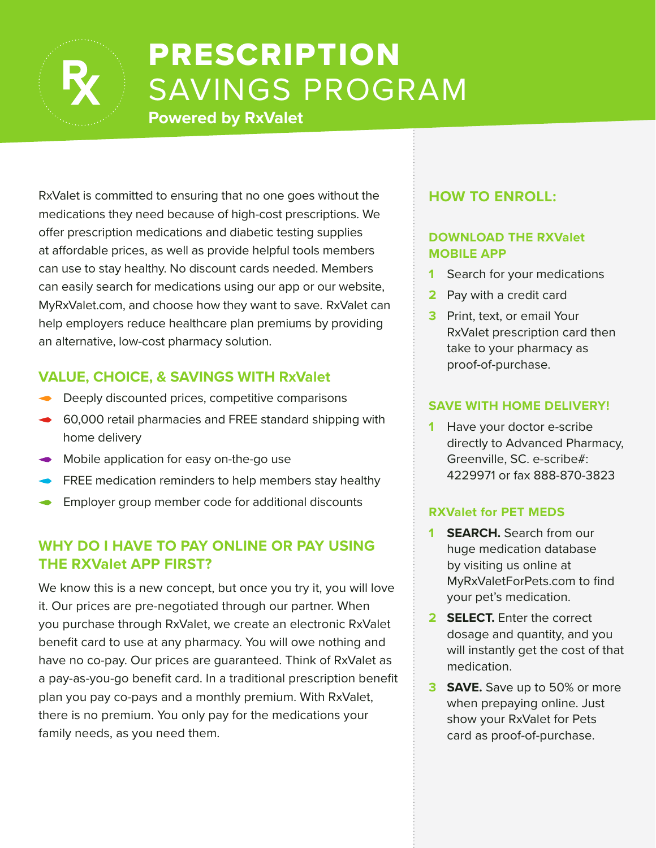

# PRESCRIPTION SAVINGS PROGRAM

**Powered by RxValet**

RxValet is committed to ensuring that no one goes without the medications they need because of high-cost prescriptions. We offer prescription medications and diabetic testing supplies at affordable prices, as well as provide helpful tools members can use to stay healthy. No discount cards needed. Members can easily search for medications using our app or our website, MyRxValet.com, and choose how they want to save. RxValet can help employers reduce healthcare plan premiums by providing an alternative, low-cost pharmacy solution.

### **VALUE, CHOICE, & SAVINGS WITH RxValet**

- Deeply discounted prices, competitive comparisons
- **60,000 retail pharmacies and FREE standard shipping with** home delivery
- Mobile application for easy on-the-go use
- **FREE medication reminders to help members stay healthy**
- Employer group member code for additional discounts

### **WHY DO I HAVE TO PAY ONLINE OR PAY USING THE RXValet APP FIRST?**

We know this is a new concept, but once you try it, you will love it. Our prices are pre-negotiated through our partner. When you purchase through RxValet, we create an electronic RxValet benefit card to use at any pharmacy. You will owe nothing and have no co-pay. Our prices are guaranteed. Think of RxValet as a pay-as-you-go benefit card. In a traditional prescription benefit plan you pay co-pays and a monthly premium. With RxValet, there is no premium. You only pay for the medications your family needs, as you need them.

### **HOW TO ENROLL:**

#### **DOWNLOAD THE RXValet MOBILE APP**

- **1** Search for your medications
- **2** Pay with a credit card
- **3** Print, text, or email Your RxValet prescription card then take to your pharmacy as proof-of-purchase.

#### **SAVE WITH HOME DELIVERY!**

**1** Have your doctor e-scribe directly to Advanced Pharmacy, Greenville, SC. e-scribe#: 4229971 or fax 888-870-3823

#### **RXValet for PET MEDS**

- **1 SEARCH.** Search from our huge medication database by visiting us online at MyRxValetForPets.com to find your pet's medication.
- **2 SELECT.** Enter the correct dosage and quantity, and you will instantly get the cost of that medication.
- **3 SAVE.** Save up to 50% or more when prepaying online. Just show your RxValet for Pets card as proof-of-purchase.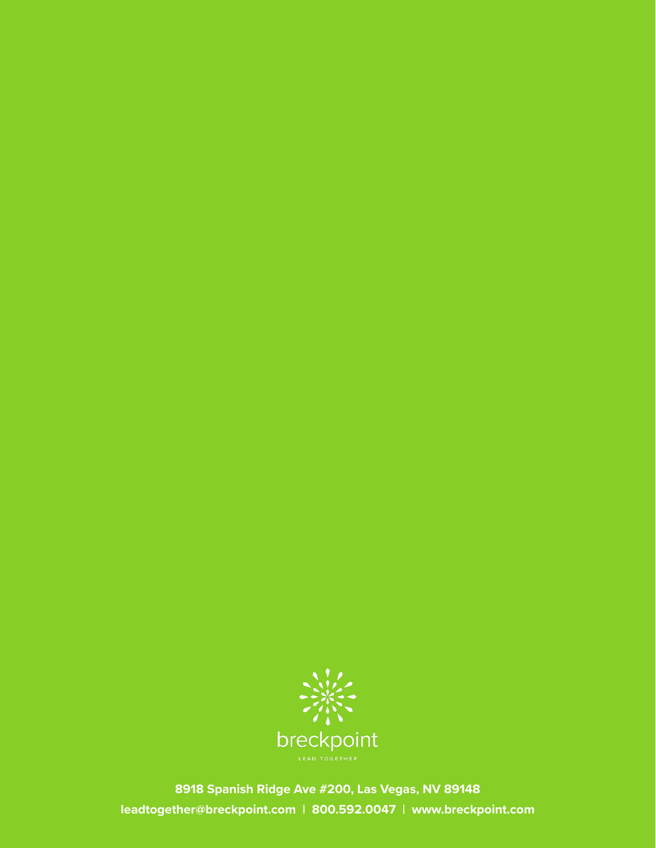

**8918 Spanish Ridge Ave #200, Las Vegas, NV 89148 leadtogether@breckpoint.com | 800.592.0047 | www.breckpoint.com**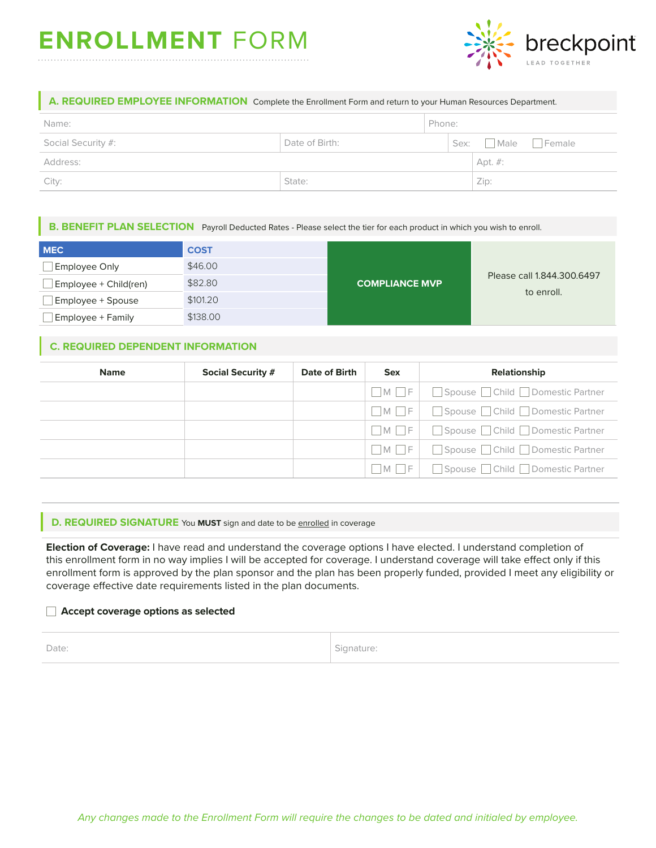## **ENROLLMENT** FORM



#### **A. REQUIRED EMPLOYEE INFORMATION** Complete the Enrollment Form and return to your Human Resources Department.

| Name:              |                | Phone: |                  |  |
|--------------------|----------------|--------|------------------|--|
| Social Security #: | Date of Birth: |        | Sex: Male Female |  |
| Address:           |                |        | Apt. #:          |  |
| City:              | State:         |        | Zip:             |  |

#### **B. BENEFIT PLAN SELECTION** Payroll Deducted Rates - Please select the tier for each product in which you wish to enroll.

| <b>MEC</b>               | <b>COST</b> | <b>COMPLIANCE MVP</b> | Please call 1.844.300.6497 |
|--------------------------|-------------|-----------------------|----------------------------|
| <b>Employee Only</b>     | \$46.00     |                       |                            |
| Employee + Child(ren)    | \$82.80     |                       |                            |
| Employee + Spouse        | \$101.20    |                       | to enroll.                 |
| <b>Employee + Family</b> | \$138.00    |                       |                            |

#### **C. REQUIRED DEPENDENT INFORMATION**

| <b>Name</b> | <b>Social Security #</b> | Date of Birth | <b>Sex</b> | Relationship                        |
|-------------|--------------------------|---------------|------------|-------------------------------------|
|             |                          |               | $M \mid F$ | Spouse Child Domestic Partner       |
|             |                          |               |            | M F   Spouse Child Domestic Partner |
|             |                          |               |            | M F   Spouse Child Domestic Partner |
|             |                          |               |            | M F Spouse Child Domestic Partner   |
|             |                          |               |            | M F Spouse Child Domestic Partner   |

#### **D. REQUIRED SIGNATURE** You MUST sign and date to be enrolled in coverage

**Election of Coverage:** I have read and understand the coverage options I have elected. I understand completion of this enrollment form in no way implies I will be accepted for coverage. I understand coverage will take effect only if this enrollment form is approved by the plan sponsor and the plan has been properly funded, provided I meet any eligibility or coverage effective date requirements listed in the plan documents.

#### **Accept coverage options as selected**

Date: Signature: Signature: Signature: Signature: Signature: Signature: Signature: Signature: Signature: Signature: Signature: Signature: Signature: Signature: Signature: Signature: Signature: Signature: Signature: Signatu